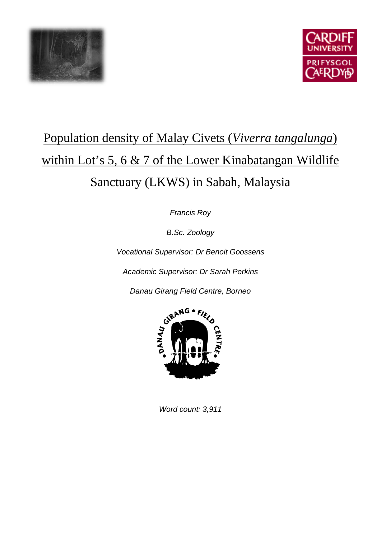



# Population density of Malay Civets (*Viverra tangalunga*) within Lot's 5, 6 & 7 of the Lower Kinabatangan Wildlife Sanctuary (LKWS) in Sabah, Malaysia

*Francis Roy*

*B.Sc. Zoology*

*Vocational Supervisor: Dr Benoit Goossens*

*Academic Supervisor: Dr Sarah Perkins*



*Word count: 3,911*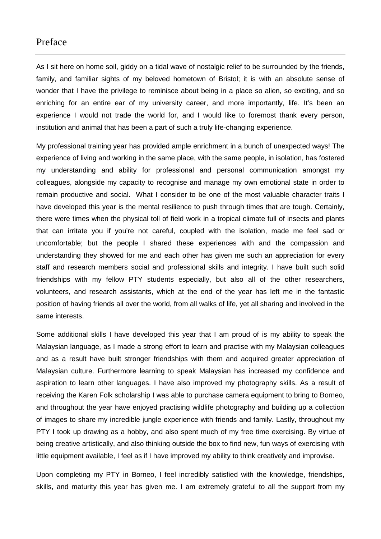# Preface

As I sit here on home soil, giddy on a tidal wave of nostalgic relief to be surrounded by the friends, family, and familiar sights of my beloved hometown of Bristol; it is with an absolute sense of wonder that I have the privilege to reminisce about being in a place so alien, so exciting, and so enriching for an entire ear of my university career, and more importantly, life. It's been an experience I would not trade the world for, and I would like to foremost thank every person, institution and animal that has been a part of such a truly life-changing experience.

My professional training year has provided ample enrichment in a bunch of unexpected ways! The experience of living and working in the same place, with the same people, in isolation, has fostered my understanding and ability for professional and personal communication amongst my colleagues, alongside my capacity to recognise and manage my own emotional state in order to remain productive and social. What I consider to be one of the most valuable character traits I have developed this year is the mental resilience to push through times that are tough. Certainly, there were times when the physical toll of field work in a tropical climate full of insects and plants that can irritate you if you're not careful, coupled with the isolation, made me feel sad or uncomfortable; but the people I shared these experiences with and the compassion and understanding they showed for me and each other has given me such an appreciation for every staff and research members social and professional skills and integrity. I have built such solid friendships with my fellow PTY students especially, but also all of the other researchers, volunteers, and research assistants, which at the end of the year has left me in the fantastic position of having friends all over the world, from all walks of life, yet all sharing and involved in the same interests.

Some additional skills I have developed this year that I am proud of is my ability to speak the Malaysian language, as I made a strong effort to learn and practise with my Malaysian colleagues and as a result have built stronger friendships with them and acquired greater appreciation of Malaysian culture. Furthermore learning to speak Malaysian has increased my confidence and aspiration to learn other languages. I have also improved my photography skills. As a result of receiving the Karen Folk scholarship I was able to purchase camera equipment to bring to Borneo, and throughout the year have enjoyed practising wildlife photography and building up a collection of images to share my incredible jungle experience with friends and family. Lastly, throughout my PTY I took up drawing as a hobby, and also spent much of my free time exercising. By virtue of being creative artistically, and also thinking outside the box to find new, fun ways of exercising with little equipment available, I feel as if I have improved my ability to think creatively and improvise.

Upon completing my PTY in Borneo, I feel incredibly satisfied with the knowledge, friendships, skills, and maturity this year has given me. I am extremely grateful to all the support from my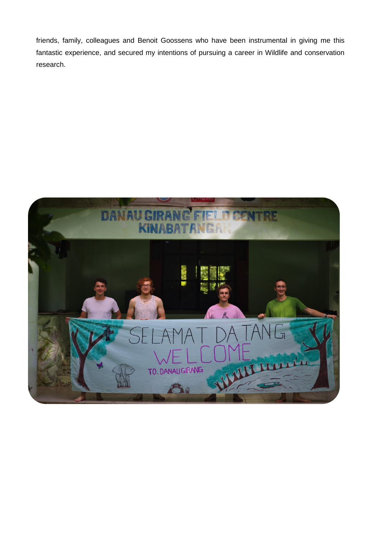friends, family, colleagues and Benoit Goossens who have been instrumental in giving me this fantastic experience, and secured my intentions of pursuing a career in Wildlife and conservation research.

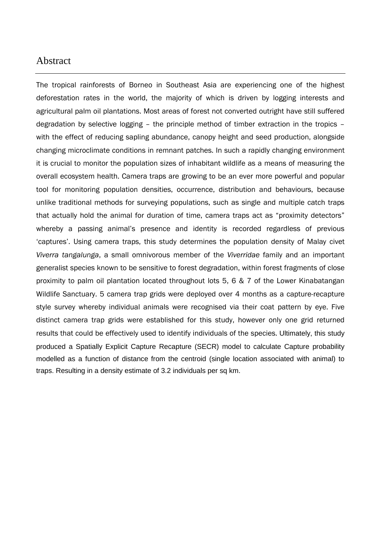# Abstract

The tropical rainforests of Borneo in Southeast Asia are experiencing one of the highest deforestation rates in the world, the majority of which is driven by logging interests and agricultural palm oil plantations. Most areas of forest not converted outright have still suffered degradation by selective logging – the principle method of timber extraction in the tropics – with the effect of reducing sapling abundance, canopy height and seed production, alongside changing microclimate conditions in remnant patches. In such a rapidly changing environment it is crucial to monitor the population sizes of inhabitant wildlife as a means of measuring the overall ecosystem health. Camera traps are growing to be an ever more powerful and popular tool for monitoring population densities, occurrence, distribution and behaviours, because unlike traditional methods for surveying populations, such as single and multiple catch traps that actually hold the animal for duration of time, camera traps act as "proximity detectors" whereby a passing animal's presence and identity is recorded regardless of previous 'captures'. Using camera traps, this study determines the population density of Malay civet *Viverra tangalunga*, a small omnivorous member of the *Viverridae* family and an important generalist species known to be sensitive to forest degradation, within forest fragments of close proximity to palm oil plantation located throughout lots 5, 6 & 7 of the Lower Kinabatangan Wildlife Sanctuary. 5 camera trap grids were deployed over 4 months as a capture-recapture style survey whereby individual animals were recognised via their coat pattern by eye. Five distinct camera trap grids were established for this study, however only one grid returned results that could be effectively used to identify individuals of the species. Ultimately, this study produced a Spatially Explicit Capture Recapture (SECR) model to calculate Capture probability modelled as a function of distance from the centroid (single location associated with animal) to traps. Resulting in a density estimate of 3.2 individuals per sq km.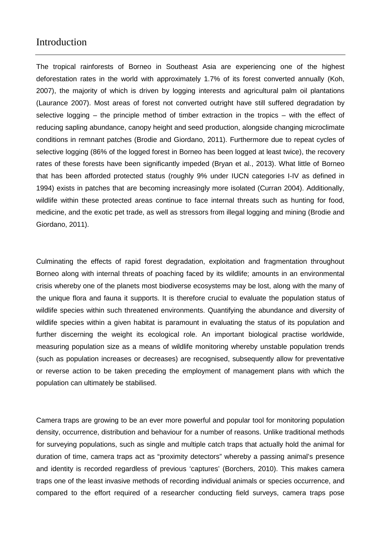## Introduction

The tropical rainforests of Borneo in Southeast Asia are experiencing one of the highest deforestation rates in the world with approximately 1.7% of its forest converted annually (Koh, 2007), the majority of which is driven by logging interests and agricultural palm oil plantations (Laurance 2007). Most areas of forest not converted outright have still suffered degradation by selective logging – the principle method of timber extraction in the tropics – with the effect of reducing sapling abundance, canopy height and seed production, alongside changing microclimate conditions in remnant patches (Brodie and Giordano, 2011). Furthermore due to repeat cycles of selective logging (86% of the logged forest in Borneo has been logged at least twice), the recovery rates of these forests have been significantly impeded (Bryan et al., 2013). What little of Borneo that has been afforded protected status (roughly 9% under IUCN categories I-IV as defined in 1994) exists in patches that are becoming increasingly more isolated (Curran 2004). Additionally, wildlife within these protected areas continue to face internal threats such as hunting for food. medicine, and the exotic pet trade, as well as stressors from illegal logging and mining (Brodie and Giordano, 2011).

Culminating the effects of rapid forest degradation, exploitation and fragmentation throughout Borneo along with internal threats of poaching faced by its wildlife; amounts in an environmental crisis whereby one of the planets most biodiverse ecosystems may be lost, along with the many of the unique flora and fauna it supports. It is therefore crucial to evaluate the population status of wildlife species within such threatened environments. Quantifying the abundance and diversity of wildlife species within a given habitat is paramount in evaluating the status of its population and further discerning the weight its ecological role. An important biological practise worldwide, measuring population size as a means of wildlife monitoring whereby unstable population trends (such as population increases or decreases) are recognised, subsequently allow for preventative or reverse action to be taken preceding the employment of management plans with which the population can ultimately be stabilised.

Camera traps are growing to be an ever more powerful and popular tool for monitoring population density, occurrence, distribution and behaviour for a number of reasons. Unlike traditional methods for surveying populations, such as single and multiple catch traps that actually hold the animal for duration of time, camera traps act as "proximity detectors" whereby a passing animal's presence and identity is recorded regardless of previous 'captures' (Borchers, 2010). This makes camera traps one of the least invasive methods of recording individual animals or species occurrence, and compared to the effort required of a researcher conducting field surveys, camera traps pose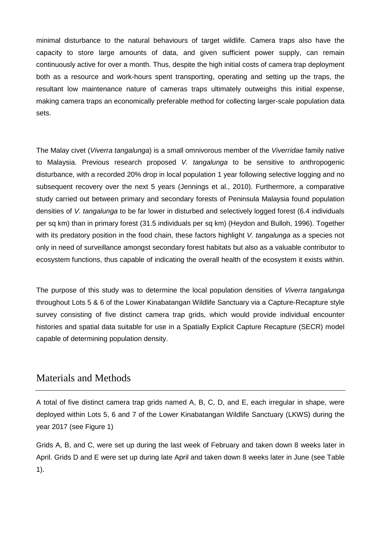minimal disturbance to the natural behaviours of target wildlife. Camera traps also have the capacity to store large amounts of data, and given sufficient power supply, can remain continuously active for over a month. Thus, despite the high initial costs of camera trap deployment both as a resource and work-hours spent transporting, operating and setting up the traps, the resultant low maintenance nature of cameras traps ultimately outweighs this initial expense, making camera traps an economically preferable method for collecting larger-scale population data sets.

The Malay civet (*Viverra tangalunga*) is a small omnivorous member of the *Viverridae* family native to Malaysia. Previous research proposed *V. tangalunga* to be sensitive to anthropogenic disturbance, with a recorded 20% drop in local population 1 year following selective logging and no subsequent recovery over the next 5 years (Jennings et al., 2010). Furthermore, a comparative study carried out between primary and secondary forests of Peninsula Malaysia found population densities of *V. tangalunga* to be far lower in disturbed and selectively logged forest (6.4 individuals per sq km) than in primary forest (31.5 individuals per sq km) (Heydon and Bulloh, 1996). Together with its predatory position in the food chain, these factors highlight *V. tangalunga* as a species not only in need of surveillance amongst secondary forest habitats but also as a valuable contributor to ecosystem functions, thus capable of indicating the overall health of the ecosystem it exists within.

The purpose of this study was to determine the local population densities of *Viverra tangalunga* throughout Lots 5 & 6 of the Lower Kinabatangan Wildlife Sanctuary via a Capture-Recapture style survey consisting of five distinct camera trap grids, which would provide individual encounter histories and spatial data suitable for use in a Spatially Explicit Capture Recapture (SECR) model capable of determining population density.

# Materials and Methods

A total of five distinct camera trap grids named A, B, C, D, and E, each irregular in shape, were deployed within Lots 5, 6 and 7 of the Lower Kinabatangan Wildlife Sanctuary (LKWS) during the year 2017 (see Figure 1)

Grids A, B, and C, were set up during the last week of February and taken down 8 weeks later in April. Grids D and E were set up during late April and taken down 8 weeks later in June (see Table 1).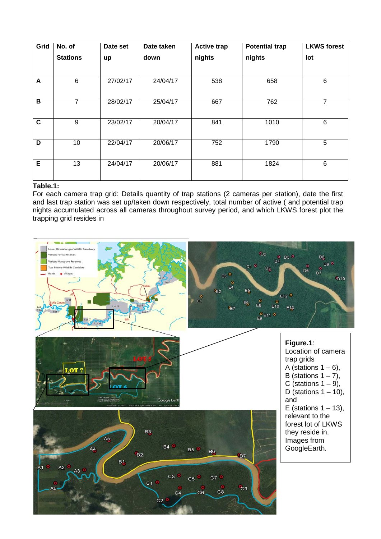| Grid        | No. of          | Date set | Date taken | <b>Active trap</b> | <b>Potential trap</b> | <b>LKWS forest</b> |
|-------------|-----------------|----------|------------|--------------------|-----------------------|--------------------|
|             | <b>Stations</b> | up       | down       | nights             | nights                | lot                |
|             |                 |          |            |                    |                       |                    |
| A           | 6               | 27/02/17 | 24/04/17   | 538                | 658                   | 6                  |
| В           | 7               | 28/02/17 | 25/04/17   | 667                | 762                   | 7                  |
| $\mathbf c$ | 9               | 23/02/17 | 20/04/17   | 841                | 1010                  | 6                  |
| D           | 10              | 22/04/17 | 20/06/17   | 752                | 1790                  | 5                  |
| E           | 13              | 24/04/17 | 20/06/17   | 881                | 1824                  | 6                  |

### **Table.1:**

For each camera trap grid: Details quantity of trap stations (2 cameras per station), date the first and last trap station was set up/taken down respectively, total number of active ( and potential trap nights accumulated across all cameras throughout survey period, and which LKWS forest plot the trapping grid resides in

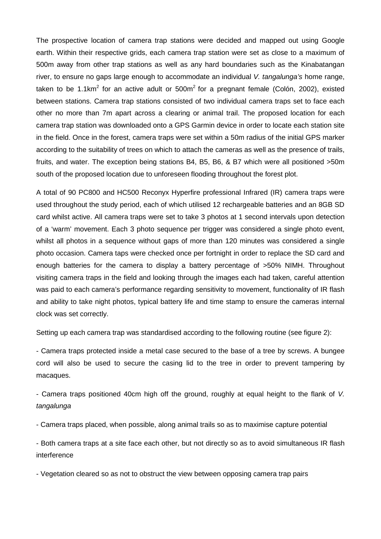The prospective location of camera trap stations were decided and mapped out using Google earth. Within their respective grids, each camera trap station were set as close to a maximum of 500m away from other trap stations as well as any hard boundaries such as the Kinabatangan river, to ensure no gaps large enough to accommodate an individual *V. tangalunga's* home range, taken to be 1.1km<sup>2</sup> for an active adult or  $500m^2$  for a pregnant female (Colón, 2002), existed between stations. Camera trap stations consisted of two individual camera traps set to face each other no more than 7m apart across a clearing or animal trail. The proposed location for each camera trap station was downloaded onto a GPS Garmin device in order to locate each station site in the field. Once in the forest, camera traps were set within a 50m radius of the initial GPS marker according to the suitability of trees on which to attach the cameras as well as the presence of trails, fruits, and water. The exception being stations B4, B5, B6, & B7 which were all positioned >50m south of the proposed location due to unforeseen flooding throughout the forest plot.

A total of 90 PC800 and HC500 Reconyx Hyperfire professional Infrared (IR) camera traps were used throughout the study period, each of which utilised 12 rechargeable batteries and an 8GB SD card whilst active. All camera traps were set to take 3 photos at 1 second intervals upon detection of a 'warm' movement. Each 3 photo sequence per trigger was considered a single photo event, whilst all photos in a sequence without gaps of more than 120 minutes was considered a single photo occasion. Camera taps were checked once per fortnight in order to replace the SD card and enough batteries for the camera to display a battery percentage of >50% NIMH. Throughout visiting camera traps in the field and looking through the images each had taken, careful attention was paid to each camera's performance regarding sensitivity to movement, functionality of IR flash and ability to take night photos, typical battery life and time stamp to ensure the cameras internal clock was set correctly.

Setting up each camera trap was standardised according to the following routine (see figure 2):

- Camera traps protected inside a metal case secured to the base of a tree by screws. A bungee cord will also be used to secure the casing lid to the tree in order to prevent tampering by macaques.

- Camera traps positioned 40cm high off the ground, roughly at equal height to the flank of *V. tangalunga*

- Camera traps placed, when possible, along animal trails so as to maximise capture potential

- Both camera traps at a site face each other, but not directly so as to avoid simultaneous IR flash interference

- Vegetation cleared so as not to obstruct the view between opposing camera trap pairs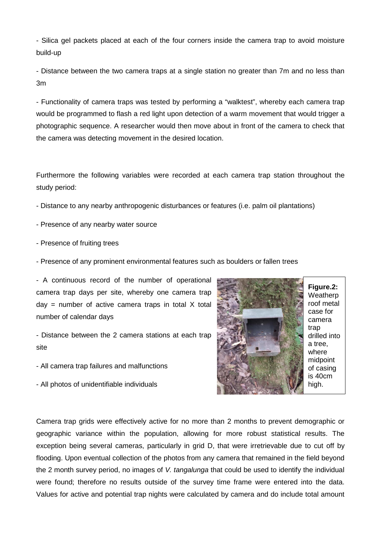- Silica gel packets placed at each of the four corners inside the camera trap to avoid moisture build-up

- Distance between the two camera traps at a single station no greater than 7m and no less than 3m

- Functionality of camera traps was tested by performing a "walktest", whereby each camera trap would be programmed to flash a red light upon detection of a warm movement that would trigger a photographic sequence. A researcher would then move about in front of the camera to check that the camera was detecting movement in the desired location.

Furthermore the following variables were recorded at each camera trap station throughout the study period:

- Distance to any nearby anthropogenic disturbances or features (i.e. palm oil plantations)
- Presence of any nearby water source
- Presence of fruiting trees
- Presence of any prominent environmental features such as boulders or fallen trees

- A continuous record of the number of operational camera trap days per site, whereby one camera trap  $day = number of active camera traps in total X total$ number of calendar days

- Distance between the 2 camera stations at each trap site
- All camera trap failures and malfunctions
- All photos of unidentifiable individuals



**Figure.2:** Weatherp roof metal case for camera trap drilled into a tree, where midpoint of casing is 40cm high.

Camera trap grids were effectively active for no more than 2 months to prevent demographic or geographic variance within the population, allowing for more robust statistical results. The exception being several cameras, particularly in grid D, that were irretrievable due to cut off by flooding. Upon eventual collection of the photos from any camera that remained in the field beyond the 2 month survey period, no images of *V. tangalunga* that could be used to identify the individual were found; therefore no results outside of the survey time frame were entered into the data. Values for active and potential trap nights were calculated by camera and do include total amount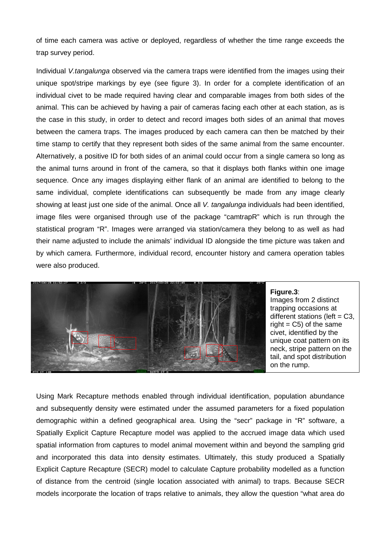of time each camera was active or deployed, regardless of whether the time range exceeds the trap survey period.

Individual *V.tangalunga* observed via the camera traps were identified from the images using their unique spot/stripe markings by eye (see figure 3). In order for a complete identification of an individual civet to be made required having clear and comparable images from both sides of the animal. This can be achieved by having a pair of cameras facing each other at each station, as is the case in this study, in order to detect and record images both sides of an animal that moves between the camera traps. The images produced by each camera can then be matched by their time stamp to certify that they represent both sides of the same animal from the same encounter. Alternatively, a positive ID for both sides of an animal could occur from a single camera so long as the animal turns around in front of the camera, so that it displays both flanks within one image sequence. Once any images displaying either flank of an animal are identified to belong to the same individual, complete identifications can subsequently be made from any image clearly showing at least just one side of the animal. Once all *V. tangalunga* individuals had been identified, image files were organised through use of the package "camtrapR" which is run through the statistical program "R". Images were arranged via station/camera they belong to as well as had their name adjusted to include the animals' individual ID alongside the time picture was taken and by which camera. Furthermore, individual record, encounter history and camera operation tables were also produced.



#### **Figure.3**:

Images from 2 distinct trapping occasions at different stations (left  $= C3$ , right  $= C5$ ) of the same civet, identified by the unique coat pattern on its neck, stripe pattern on the tail, and spot distribution on the rump.

Using Mark Recapture methods enabled through individual identification, population abundance and subsequently density were estimated under the assumed parameters for a fixed population demographic within a defined geographical area. Using the "secr" package in "R" software, a Spatially Explicit Capture Recapture model was applied to the accrued image data which used spatial information from captures to model animal movement within and beyond the sampling grid and incorporated this data into density estimates. Ultimately, this study produced a Spatially Explicit Capture Recapture (SECR) model to calculate Capture probability modelled as a function of distance from the centroid (single location associated with animal) to traps. Because SECR models incorporate the location of traps relative to animals, they allow the question "what area do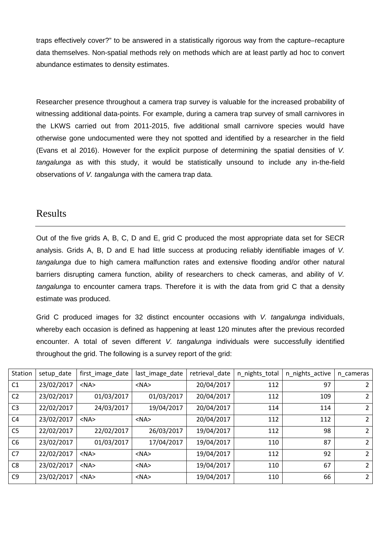traps effectively cover?" to be answered in a statistically rigorous way from the capture–recapture data themselves. Non-spatial methods rely on methods which are at least partly ad hoc to convert abundance estimates to density estimates.

Researcher presence throughout a camera trap survey is valuable for the increased probability of witnessing additional data-points. For example, during a camera trap survey of small carnivores in the LKWS carried out from 2011-2015, five additional small carnivore species would have otherwise gone undocumented were they not spotted and identified by a researcher in the field (Evans et al 2016). However for the explicit purpose of determining the spatial densities of *V. tangalunga* as with this study, it would be statistically unsound to include any in-the-field observations of *V. tangalunga* with the camera trap data.

## Results

Out of the five grids A, B, C, D and E, grid C produced the most appropriate data set for SECR analysis. Grids A, B, D and E had little success at producing reliably identifiable images of *V. tangalunga* due to high camera malfunction rates and extensive flooding and/or other natural barriers disrupting camera function, ability of researchers to check cameras, and ability of *V. tangalunga* to encounter camera traps. Therefore it is with the data from grid C that a density estimate was produced.

Grid C produced images for 32 distinct encounter occasions with *V. tangalunga* individuals, whereby each occasion is defined as happening at least 120 minutes after the previous recorded encounter. A total of seven different *V. tangalunga* individuals were successfully identified throughout the grid. The following is a survey report of the grid:

| Station        | setup_date | first_image_date | last_image_date | retrieval_date | n_nights_total | n_nights_active | n cameras      |
|----------------|------------|------------------|-----------------|----------------|----------------|-----------------|----------------|
| C <sub>1</sub> | 23/02/2017 | $<$ NA $>$       | $<$ NA $>$      | 20/04/2017     | 112            | 97              | 2              |
| C <sub>2</sub> | 23/02/2017 | 01/03/2017       | 01/03/2017      | 20/04/2017     | 112            | 109             | 2              |
| C <sub>3</sub> | 22/02/2017 | 24/03/2017       | 19/04/2017      | 20/04/2017     | 114            | 114             | 2              |
| C <sub>4</sub> | 23/02/2017 | $<$ NA $>$       | $<$ NA $>$      | 20/04/2017     | 112            | 112             | 2              |
| C <sub>5</sub> | 22/02/2017 | 22/02/2017       | 26/03/2017      | 19/04/2017     | 112            | 98              | 2              |
| C <sub>6</sub> | 23/02/2017 | 01/03/2017       | 17/04/2017      | 19/04/2017     | 110            | 87              | $\overline{2}$ |
| C <sub>7</sub> | 22/02/2017 | $<$ NA $>$       | $<$ NA $>$      | 19/04/2017     | 112            | 92              | $\mathcal{L}$  |
| C <sub>8</sub> | 23/02/2017 | $<$ NA $>$       | $<$ NA $>$      | 19/04/2017     | 110            | 67              | 2              |
| C <sub>9</sub> | 23/02/2017 | $<$ NA $>$       | $<$ NA $>$      | 19/04/2017     | 110            | 66              | 2              |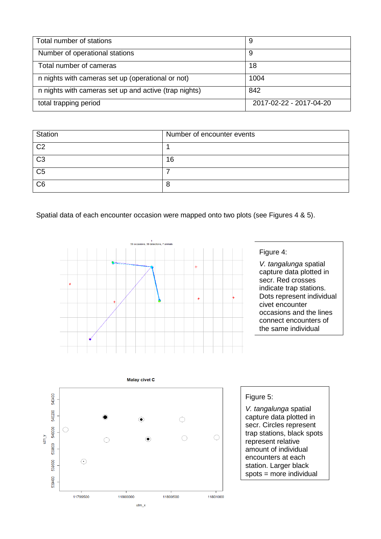| Total number of stations                              | 9                       |
|-------------------------------------------------------|-------------------------|
| Number of operational stations                        | 9                       |
| Total number of cameras                               | 18                      |
| n nights with cameras set up (operational or not)     | 1004                    |
| n nights with cameras set up and active (trap nights) | 842                     |
| total trapping period                                 | 2017-02-22 - 2017-04-20 |

| <b>Station</b> | Number of encounter events |
|----------------|----------------------------|
| C <sub>2</sub> |                            |
| C <sub>3</sub> | 16                         |
| C <sub>5</sub> |                            |
| C <sub>6</sub> | Ο                          |

Spatial data of each encounter occasion were mapped onto two plots (see Figures 4 & 5).



### Figure 4:

*V. tangalunga* spatial capture data plotted in secr. Red crosses indicate trap stations. Dots represent individual civet encounter occasions and the lines connect encounters of the same individual



#### Figure 5:

*V. tangalunga* spatial capture data plotted in secr. Circles represent trap stations, black spots represent relative amount of individual encounters at each station. Larger black spots = more individual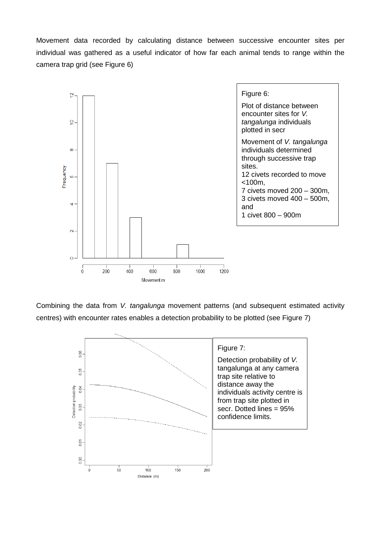Movement data recorded by calculating distance between successive encounter sites per individual was gathered as a useful indicator of how far each animal tends to range within the camera trap grid (see Figure 6)



Combining the data from *V. tangalunga* movement patterns (and subsequent estimated activity centres) with encounter rates enables a detection probability to be plotted (see Figure 7)

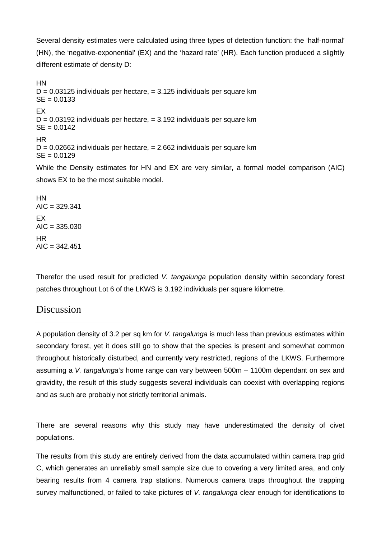Several density estimates were calculated using three types of detection function: the 'half-normal' (HN), the 'negative-exponential' (EX) and the 'hazard rate' (HR). Each function produced a slightly different estimate of density D:

HN  $D = 0.03125$  individuals per hectare,  $= 3.125$  individuals per square km  $SE = 0.0133$ EX  $D = 0.03192$  individuals per hectare,  $= 3.192$  individuals per square km  $SE = 0.0142$ HR  $D = 0.02662$  individuals per hectare,  $= 2.662$  individuals per square km  $SE = 0.0129$ While the Density estimates for HN and EX are very similar, a formal model comparison (AIC) shows EX to be the most suitable model. HN  $AIC = 329.341$ EX  $AIC = 335.030$ 

Therefor the used result for predicted *V. tangalunga* population density within secondary forest patches throughout Lot 6 of the LKWS is 3.192 individuals per square kilometre.

# Discussion

 $AIC = 342.451$ 

HR

A population density of 3.2 per sq km for *V. tangalunga* is much less than previous estimates within secondary forest, yet it does still go to show that the species is present and somewhat common throughout historically disturbed, and currently very restricted, regions of the LKWS. Furthermore assuming a *V. tangalunga's* home range can vary between 500m – 1100m dependant on sex and gravidity, the result of this study suggests several individuals can coexist with overlapping regions and as such are probably not strictly territorial animals.

There are several reasons why this study may have underestimated the density of civet populations.

The results from this study are entirely derived from the data accumulated within camera trap grid C, which generates an unreliably small sample size due to covering a very limited area, and only bearing results from 4 camera trap stations. Numerous camera traps throughout the trapping survey malfunctioned, or failed to take pictures of *V. tangalunga* clear enough for identifications to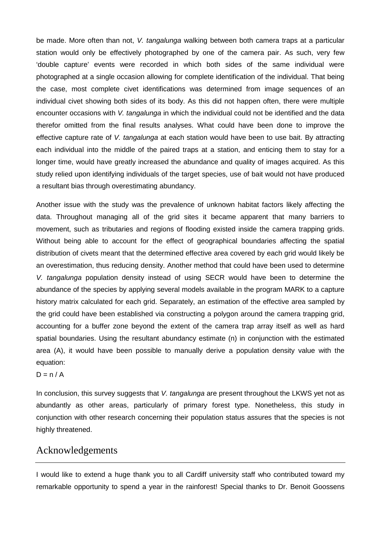be made. More often than not, *V. tangalunga* walking between both camera traps at a particular station would only be effectively photographed by one of the camera pair. As such, very few 'double capture' events were recorded in which both sides of the same individual were photographed at a single occasion allowing for complete identification of the individual. That being the case, most complete civet identifications was determined from image sequences of an individual civet showing both sides of its body. As this did not happen often, there were multiple encounter occasions with *V. tangalunga* in which the individual could not be identified and the data therefor omitted from the final results analyses. What could have been done to improve the effective capture rate of *V. tangalunga* at each station would have been to use bait. By attracting each individual into the middle of the paired traps at a station, and enticing them to stay for a longer time, would have greatly increased the abundance and quality of images acquired. As this study relied upon identifying individuals of the target species, use of bait would not have produced a resultant bias through overestimating abundancy.

Another issue with the study was the prevalence of unknown habitat factors likely affecting the data. Throughout managing all of the grid sites it became apparent that many barriers to movement, such as tributaries and regions of flooding existed inside the camera trapping grids. Without being able to account for the effect of geographical boundaries affecting the spatial distribution of civets meant that the determined effective area covered by each grid would likely be an overestimation, thus reducing density. Another method that could have been used to determine *V. tangalunga* population density instead of using SECR would have been to determine the abundance of the species by applying several models available in the program MARK to a capture history matrix calculated for each grid. Separately, an estimation of the effective area sampled by the grid could have been established via constructing a polygon around the camera trapping grid, accounting for a buffer zone beyond the extent of the camera trap array itself as well as hard spatial boundaries. Using the resultant abundancy estimate (n) in conjunction with the estimated area (A), it would have been possible to manually derive a population density value with the equation:

 $D = n / A$ 

In conclusion, this survey suggests that *V. tangalunga* are present throughout the LKWS yet not as abundantly as other areas, particularly of primary forest type. Nonetheless, this study in conjunction with other research concerning their population status assures that the species is not highly threatened.

## Acknowledgements

I would like to extend a huge thank you to all Cardiff university staff who contributed toward my remarkable opportunity to spend a year in the rainforest! Special thanks to Dr. Benoit Goossens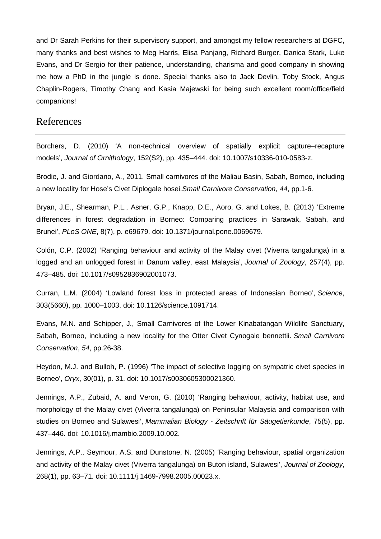and Dr Sarah Perkins for their supervisory support, and amongst my fellow researchers at DGFC, many thanks and best wishes to Meg Harris, Elisa Panjang, Richard Burger, Danica Stark, Luke Evans, and Dr Sergio for their patience, understanding, charisma and good company in showing me how a PhD in the jungle is done. Special thanks also to Jack Devlin, Toby Stock, Angus Chaplin-Rogers, Timothy Chang and Kasia Majewski for being such excellent room/office/field companions!

## References

Borchers, D. (2010) 'A non-technical overview of spatially explicit capture–recapture models', *Journal of Ornithology*, 152(S2), pp. 435–444. doi: 10.1007/s10336-010-0583-z.

Brodie, J. and Giordano, A., 2011. Small carnivores of the Maliau Basin, Sabah, Borneo, including a new locality for Hose's Civet Diplogale hosei.*Small Carnivore Conservation*, *44*, pp.1-6.

Bryan, J.E., Shearman, P.L., Asner, G.P., Knapp, D.E., Aoro, G. and Lokes, B. (2013) 'Extreme differences in forest degradation in Borneo: Comparing practices in Sarawak, Sabah, and Brunei', *PLoS ONE*, 8(7), p. e69679. doi: 10.1371/journal.pone.0069679.

Colón, C.P. (2002) 'Ranging behaviour and activity of the Malay civet (Viverra tangalunga) in a logged and an unlogged forest in Danum valley, east Malaysia', *Journal of Zoology*, 257(4), pp. 473–485. doi: 10.1017/s0952836902001073.

Curran, L.M. (2004) 'Lowland forest loss in protected areas of Indonesian Borneo', *Science*, 303(5660), pp. 1000–1003. doi: 10.1126/science.1091714.

Evans, M.N. and Schipper, J., Small Carnivores of the Lower Kinabatangan Wildlife Sanctuary, Sabah, Borneo, including a new locality for the Otter Civet Cynogale bennettii. *Small Carnivore Conservation*, *54*, pp.26-38.

Heydon, M.J. and Bulloh, P. (1996) 'The impact of selective logging on sympatric civet species in Borneo', *Oryx*, 30(01), p. 31. doi: 10.1017/s0030605300021360.

Jennings, A.P., Zubaid, A. and Veron, G. (2010) 'Ranging behaviour, activity, habitat use, and morphology of the Malay civet (Viverra tangalunga) on Peninsular Malaysia and comparison with studies on Borneo and Sulawesi', *Mammalian Biology - Zeitschrift für Säugetierkunde*, 75(5), pp. 437–446. doi: 10.1016/j.mambio.2009.10.002.

Jennings, A.P., Seymour, A.S. and Dunstone, N. (2005) 'Ranging behaviour, spatial organization and activity of the Malay civet (Viverra tangalunga) on Buton island, Sulawesi', *Journal of Zoology*, 268(1), pp. 63–71. doi: 10.1111/j.1469-7998.2005.00023.x.